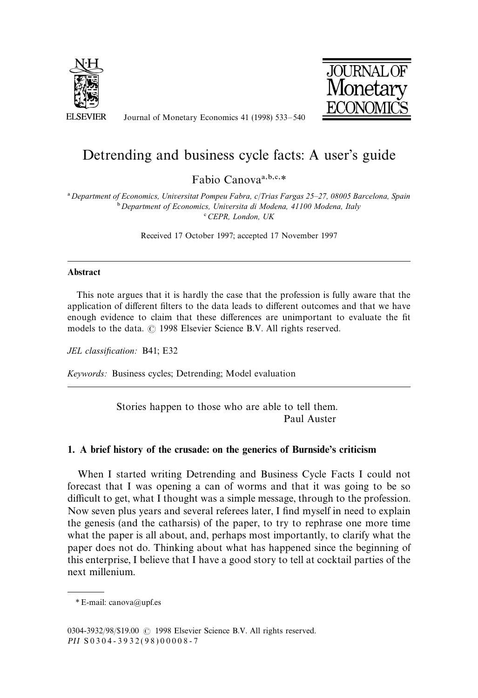



Journal of Monetary Economics 41 (1998) 533*—*540

# Detrending and business cycle facts: A user's guide

Fabio Canova<sup>a,b,c,\*</sup>

! *Department of Economics, Universitat Pompeu Fabra, c*/*Trias Fargas 25—27, 08005 Barcelona, Spain* " *Department of Economics, Universita di Modena, 41100 Modena, Italy*  $CEPR, London, UK$ 

Received 17 October 1997; accepted 17 November 1997

#### Abstract

This note argues that it is hardly the case that the profession is fully aware that the application of different filters to the data leads to different outcomes and that we have enough evidence to claim that these differences are unimportant to evaluate the fit models to the data.  $\odot$  1998 Elsevier Science B.V. All rights reserved.

*JEL classification:* B41; E32

*Keywords:* Business cycles; Detrending; Model evaluation

Stories happen to those who are able to tell them. Paul Auster

## 1. A brief history of the crusade: on the generics of Burnside's criticism

When I started writing Detrending and Business Cycle Facts I could not forecast that I was opening a can of worms and that it was going to be so difficult to get, what I thought was a simple message, through to the profession. Now seven plus years and several referees later, I find myself in need to explain the genesis (and the catharsis) of the paper, to try to rephrase one more time what the paper is all about, and, perhaps most importantly, to clarify what the paper does not do. Thinking about what has happened since the beginning of this enterprise, I believe that I have a good story to tell at cocktail parties of the next millenium.

*<sup>\*</sup>*E-mail: canova@upf.es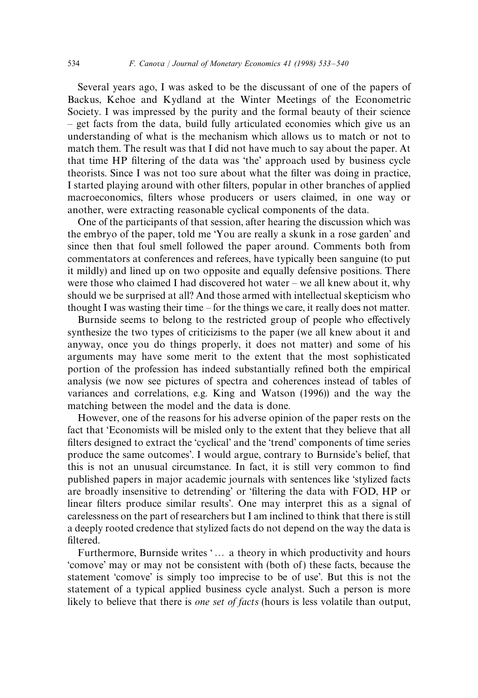Several years ago, I was asked to be the discussant of one of the papers of Backus, Kehoe and Kydland at the Winter Meetings of the Econometric Society. I was impressed by the purity and the formal beauty of their science *—* get facts from the data, build fully articulated economies which give us an understanding of what is the mechanism which allows us to match or not to match them. The result was that I did not have much to say about the paper. At that time HP filtering of the data was 'the' approach used by business cycle theorists. Since I was not too sure about what the filter was doing in practice, I started playing around with other filters, popular in other branches of applied macroeconomics, filters whose producers or users claimed, in one way or another, were extracting reasonable cyclical components of the data.

One of the participants of that session, after hearing the discussion which was the embryo of the paper, told me 'You are really a skunk in a rose garden' and since then that foul smell followed the paper around. Comments both from commentators at conferences and referees, have typically been sanguine (to put it mildly) and lined up on two opposite and equally defensive positions. There were those who claimed I had discovered hot water – we all knew about it, why should we be surprised at all? And those armed with intellectual skepticism who thought I was wasting their time *—* for the things we care, it really does not matter.

Burnside seems to belong to the restricted group of people who effectively synthesize the two types of criticizisms to the paper (we all knew about it and anyway, once you do things properly, it does not matter) and some of his arguments may have some merit to the extent that the most sophisticated portion of the profession has indeed substantially refined both the empirical analysis (we now see pictures of spectra and coherences instead of tables of variances and correlations, e.g. King and Watson (1996)) and the way the matching between the model and the data is done.

However, one of the reasons for his adverse opinion of the paper rests on the fact that 'Economists will be misled only to the extent that they believe that all filters designed to extract the 'cyclical' and the 'trend' components of time series produce the same outcomes'. I would argue, contrary to Burnside's belief, that this is not an unusual circumstance. In fact, it is still very common to find published papers in major academic journals with sentences like 'stylized facts are broadly insensitive to detrending' or 'filtering the data with FOD, HP or linear filters produce similar results'. One may interpret this as a signal of carelessness on the part of researchers but I am inclined to think that there is still a deeply rooted credence that stylized facts do not depend on the way the data is filtered.

Furthermore, Burnside writes '... a theory in which productivity and hours 'comove' may or may not be consistent with (both of) these facts, because the statement 'comove' is simply too imprecise to be of use'. But this is not the statement of a typical applied business cycle analyst. Such a person is more likely to believe that there is *one set of facts* (hours is less volatile than output,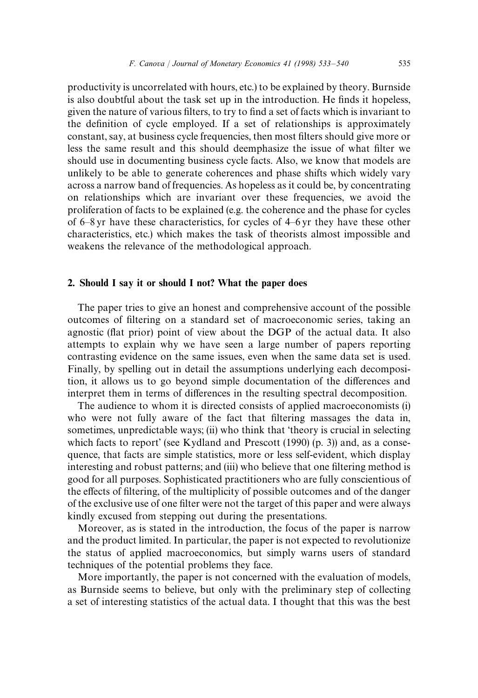productivity is uncorrelated with hours, etc.) to be explained by theory. Burnside is also doubtful about the task set up in the introduction. He finds it hopeless, given the nature of various filters, to try to find a set of facts which is invariant to the definition of cycle employed. If a set of relationships is approximately constant, say, at business cycle frequencies, then most filters should give more or less the same result and this should deemphasize the issue of what filter we should use in documenting business cycle facts. Also, we know that models are unlikely to be able to generate coherences and phase shifts which widely vary across a narrow band of frequencies. As hopeless as it could be, by concentrating on relationships which are invariant over these frequencies, we avoid the proliferation of facts to be explained (e.g. the coherence and the phase for cycles of 6*—*8 yr have these characteristics, for cycles of 4*—*6 yr they have these other characteristics, etc.) which makes the task of theorists almost impossible and weakens the relevance of the methodological approach.

#### 2. Should I say it or should I not? What the paper does

The paper tries to give an honest and comprehensive account of the possible outcomes of filtering on a standard set of macroeconomic series, taking an agnostic (flat prior) point of view about the DGP of the actual data. It also attempts to explain why we have seen a large number of papers reporting contrasting evidence on the same issues, even when the same data set is used. Finally, by spelling out in detail the assumptions underlying each decomposition, it allows us to go beyond simple documentation of the differences and interpret them in terms of differences in the resulting spectral decomposition.

The audience to whom it is directed consists of applied macroeconomists (i) who were not fully aware of the fact that filtering massages the data in, sometimes, unpredictable ways; (ii) who think that 'theory is crucial in selecting which facts to report' (see Kydland and Prescott (1990) (p. 3)) and, as a consequence, that facts are simple statistics, more or less self-evident, which display interesting and robust patterns; and (iii) who believe that one filtering method is good for all purposes. Sophisticated practitioners who are fully conscientious of the effects of filtering, of the multiplicity of possible outcomes and of the danger of the exclusive use of one filter were not the target of this paper and were always kindly excused from stepping out during the presentations.

Moreover, as is stated in the introduction, the focus of the paper is narrow and the product limited. In particular, the paper is not expected to revolutionize the status of applied macroeconomics, but simply warns users of standard techniques of the potential problems they face.

More importantly, the paper is not concerned with the evaluation of models, as Burnside seems to believe, but only with the preliminary step of collecting a set of interesting statistics of the actual data. I thought that this was the best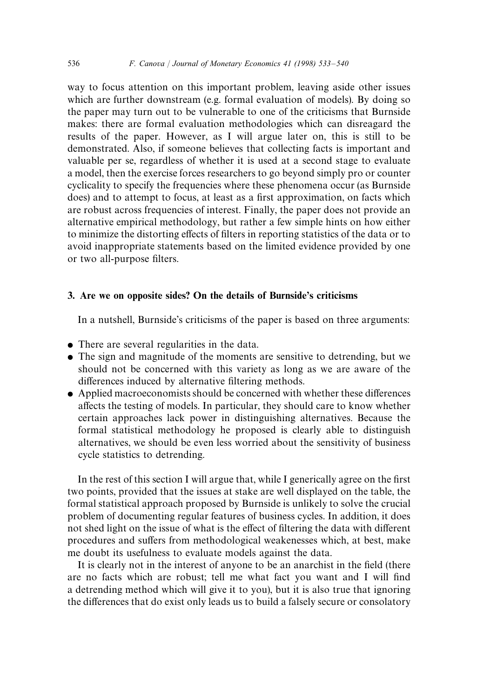way to focus attention on this important problem, leaving aside other issues which are further downstream (e.g. formal evaluation of models). By doing so the paper may turn out to be vulnerable to one of the criticisms that Burnside makes: there are formal evaluation methodologies which can disreagard the results of the paper. However, as I will argue later on, this is still to be demonstrated. Also, if someone believes that collecting facts is important and valuable per se, regardless of whether it is used at a second stage to evaluate a model, then the exercise forces researchers to go beyond simply pro or counter cyclicality to specify the frequencies where these phenomena occur (as Burnside does) and to attempt to focus, at least as a first approximation, on facts which are robust across frequencies of interest. Finally, the paper does not provide an alternative empirical methodology, but rather a few simple hints on how either to minimize the distorting effects of filters in reporting statistics of the data or to avoid inappropriate statements based on the limited evidence provided by one or two all-purpose filters.

## 3. Are we on opposite sides? On the details of Burnside's criticisms

In a nutshell, Burnside's criticisms of the paper is based on three arguments:

- There are several regularities in the data.
- $\bullet$  The sign and magnitude of the moments are sensitive to detrending, but we should not be concerned with this variety as long as we are aware of the differences induced by alternative filtering methods.
- $\bullet$  Applied macroeconomists should be concerned with whether these differences affects the testing of models. In particular, they should care to know whether certain approaches lack power in distinguishing alternatives. Because the formal statistical methodology he proposed is clearly able to distinguish alternatives, we should be even less worried about the sensitivity of business cycle statistics to detrending.

In the rest of this section I will argue that, while I generically agree on the first two points, provided that the issues at stake are well displayed on the table, the formal statistical approach proposed by Burnside is unlikely to solve the crucial problem of documenting regular features of business cycles. In addition, it does not shed light on the issue of what is the effect of filtering the data with different procedures and suffers from methodological weakenesses which, at best, make me doubt its usefulness to evaluate models against the data.

It is clearly not in the interest of anyone to be an anarchist in the field (there are no facts which are robust; tell me what fact you want and I will find a detrending method which will give it to you), but it is also true that ignoring the differences that do exist only leads us to build a falsely secure or consolatory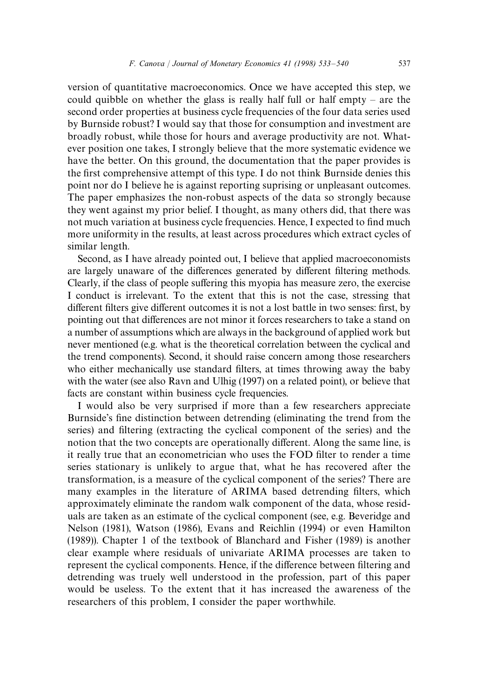version of quantitative macroeconomics. Once we have accepted this step, we could quibble on whether the glass is really half full or half empty *—* are the second order properties at business cycle frequencies of the four data series used by Burnside robust? I would say that those for consumption and investment are broadly robust, while those for hours and average productivity are not. Whatever position one takes, I strongly believe that the more systematic evidence we have the better. On this ground, the documentation that the paper provides is the first comprehensive attempt of this type. I do not think Burnside denies this point nor do I believe he is against reporting suprising or unpleasant outcomes. The paper emphasizes the non-robust aspects of the data so strongly because they went against my prior belief. I thought, as many others did, that there was not much variation at business cycle frequencies. Hence, I expected to find much more uniformity in the results, at least across procedures which extract cycles of similar length.

Second, as I have already pointed out, I believe that applied macroeconomists are largely unaware of the differences generated by different filtering methods. Clearly, if the class of people suffering this myopia has measure zero, the exercise I conduct is irrelevant. To the extent that this is not the case, stressing that different filters give different outcomes it is not a lost battle in two senses: first, by pointing out that differences are not minor it forces researchers to take a stand on a number of assumptions which are always in the background of applied work but never mentioned (e.g. what is the theoretical correlation between the cyclical and the trend components). Second, it should raise concern among those researchers who either mechanically use standard filters, at times throwing away the baby with the water (see also Ravn and Ulhig (1997) on a related point), or believe that facts are constant within business cycle frequencies.

I would also be very surprised if more than a few researchers appreciate Burnside's fine distinction between detrending (eliminating the trend from the series) and filtering (extracting the cyclical component of the series) and the notion that the two concepts are operationally different. Along the same line, is it really true that an econometrician who uses the FOD filter to render a time series stationary is unlikely to argue that, what he has recovered after the transformation, is a measure of the cyclical component of the series? There are many examples in the literature of ARIMA based detrending filters, which approximately eliminate the random walk component of the data, whose residuals are taken as an estimate of the cyclical component (see, e.g. Beveridge and Nelson (1981), Watson (1986), Evans and Reichlin (1994) or even Hamilton (1989)). Chapter 1 of the textbook of Blanchard and Fisher (1989) is another clear example where residuals of univariate ARIMA processes are taken to represent the cyclical components. Hence, if the difference between filtering and detrending was truely well understood in the profession, part of this paper would be useless. To the extent that it has increased the awareness of the researchers of this problem, I consider the paper worthwhile.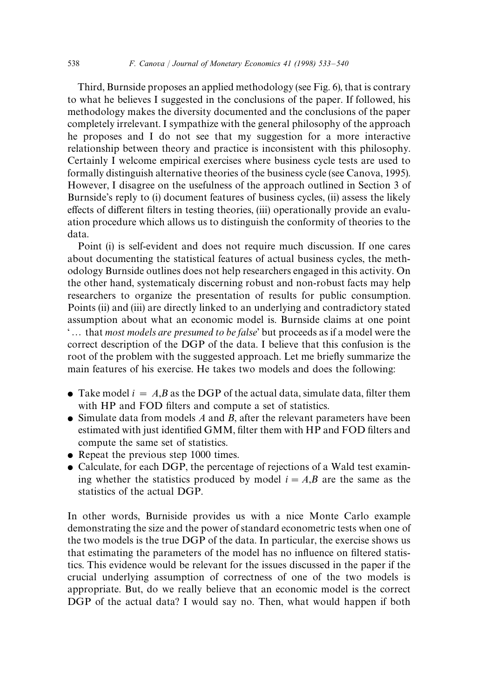Third, Burnside proposes an applied methodology (see Fig. 6), that is contrary to what he believes I suggested in the conclusions of the paper. If followed, his methodology makes the diversity documented and the conclusions of the paper completely irrelevant. I sympathize with the general philosophy of the approach he proposes and I do not see that my suggestion for a more interactive relationship between theory and practice is inconsistent with this philosophy. Certainly I welcome empirical exercises where business cycle tests are used to formally distinguish alternative theories of the business cycle (see Canova, 1995). However, I disagree on the usefulness of the approach outlined in Section 3 of Burnside's reply to (i) document features of business cycles, (ii) assess the likely effects of different filters in testing theories, (iii) operationally provide an evaluation procedure which allows us to distinguish the conformity of theories to the data.

Point (i) is self-evident and does not require much discussion. If one cares about documenting the statistical features of actual business cycles, the methodology Burnside outlines does not help researchers engaged in this activity. On the other hand, systematicaly discerning robust and non-robust facts may help researchers to organize the presentation of results for public consumption. Points (ii) and (iii) are directly linked to an underlying and contradictory stated assumption about what an economic model is. Burnside claims at one point <sup>2</sup>... that *most models are presumed to be false*' but proceeds as if a model were the correct description of the DGP of the data. I believe that this confusion is the root of the problem with the suggested approach. Let me briefly summarize the main features of his exercise. He takes two models and does the following:

- Take model  $i = A$ ,*B* as the DGP of the actual data, simulate data, filter them with HP and FOD filters and compute a set of statistics.
- $\bullet$  Simulate data from models *A* and *B*, after the relevant parameters have been estimated with just identified GMM, filter them with HP and FOD filters and compute the same set of statistics.
- $\bullet$  Repeat the previous step 1000 times.
- $\bullet$  Calculate, for each DGP, the percentage of rejections of a Wald test examining whether the statistics produced by model  $i = A$ , *B* are the same as the statistics of the actual DGP.

In other words, Burniside provides us with a nice Monte Carlo example demonstrating the size and the power of standard econometric tests when one of the two models is the true DGP of the data. In particular, the exercise shows us that estimating the parameters of the model has no influence on filtered statistics. This evidence would be relevant for the issues discussed in the paper if the crucial underlying assumption of correctness of one of the two models is appropriate. But, do we really believe that an economic model is the correct DGP of the actual data? I would say no. Then, what would happen if both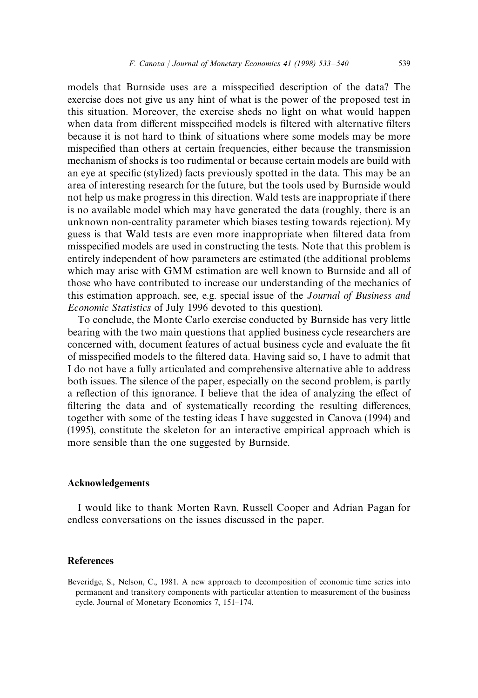models that Burnside uses are a misspecified description of the data? The exercise does not give us any hint of what is the power of the proposed test in this situation. Moreover, the exercise sheds no light on what would happen when data from different misspecified models is filtered with alternative filters because it is not hard to think of situations where some models may be more mispecified than others at certain frequencies, either because the transmission mechanism of shocks is too rudimental or because certain models are build with an eye at specific (stylized) facts previously spotted in the data. This may be an area of interesting research for the future, but the tools used by Burnside would not help us make progress in this direction. Wald tests are inappropriate if there is no available model which may have generated the data (roughly, there is an unknown non-centrality parameter which biases testing towards rejection). My guess is that Wald tests are even more inappropriate when filtered data from misspecified models are used in constructing the tests. Note that this problem is entirely independent of how parameters are estimated (the additional problems which may arise with GMM estimation are well known to Burnside and all of those who have contributed to increase our understanding of the mechanics of this estimation approach, see, e.g. special issue of the *Journal of Business and Economic Statistics* of July 1996 devoted to this question).

To conclude, the Monte Carlo exercise conducted by Burnside has very little bearing with the two main questions that applied business cycle researchers are concerned with, document features of actual business cycle and evaluate the fit of misspecified models to the filtered data. Having said so, I have to admit that I do not have a fully articulated and comprehensive alternative able to address both issues. The silence of the paper, especially on the second problem, is partly a reflection of this ignorance. I believe that the idea of analyzing the effect of filtering the data and of systematically recording the resulting differences, together with some of the testing ideas I have suggested in Canova (1994) and (1995), constitute the skeleton for an interactive empirical approach which is more sensible than the one suggested by Burnside.

## Acknowledgements

I would like to thank Morten Ravn, Russell Cooper and Adrian Pagan for endless conversations on the issues discussed in the paper.

## References

Beveridge, S., Nelson, C., 1981. A new approach to decomposition of economic time series into permanent and transitory components with particular attention to measurement of the business cycle. Journal of Monetary Economics 7, 151*—*174.